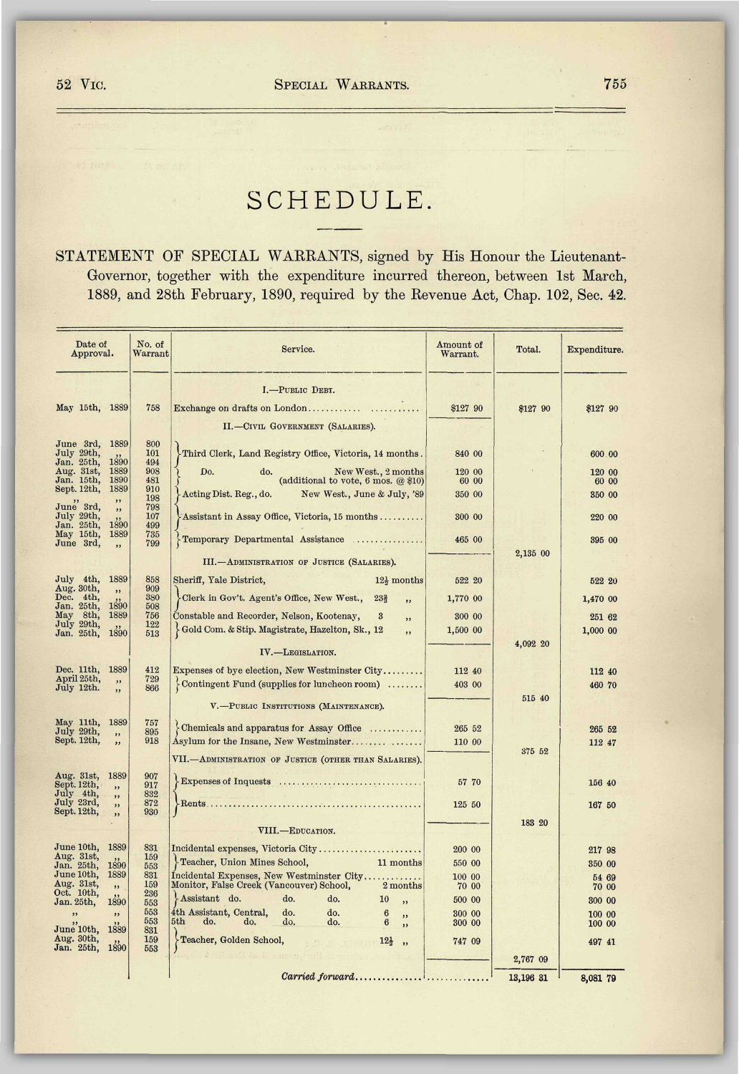## SCHEDULE.

STATEMENT OF SPECIAL WARRANTS, signed by His Honour the Lieutenant-Governor, together with the expenditure incurred thereon, between 1st March, 1889, and 28th February, 1890, required by the Revenue Act, Chap. 102, Sec. 42.

| Date of<br>Approval.                  |              | No. of<br>Warrant | Service.                                                                                          | Amount of<br>Warrant. | Total.    | Expenditure.     |
|---------------------------------------|--------------|-------------------|---------------------------------------------------------------------------------------------------|-----------------------|-----------|------------------|
|                                       |              |                   | I.-PUBLIC DEBT.                                                                                   |                       |           |                  |
| May 15th, 1889                        |              | 758               |                                                                                                   | \$127 90              | \$127 90  | \$127 90         |
|                                       |              |                   | II.-CIVIL GOVERNMENT (SALARIES).                                                                  |                       |           |                  |
| June 3rd,<br>July 29th,<br>Jan. 25th, | 1889<br>1890 | 800<br>101<br>494 | Third Clerk, Land Registry Office, Victoria, 14 months.                                           | 840 00                |           | 600.00           |
| Aug. 31st,<br>Jan. 15th,              | 1889<br>1890 | 908<br>481        | New West., 2 months<br>Do.<br>do.<br>(additional to vote, 6 mos. $@$10$ )                         | 120 00<br>60 00       |           | 120 00<br>60 00  |
| Sept. 12th,                           | 1889         | 910               | Acting Dist. Reg., do.<br>New West., June & July, '89                                             | 350 00                |           | 350 00           |
| June 3rd,                             | ,,<br>"      | 198<br>798        |                                                                                                   |                       |           |                  |
| July 29th,<br>Jan. 25th,              | 1890         | 107<br>499        | Assistant in Assay Office, Victoria, 15 months                                                    | 300 00                |           | 220 00           |
| May 15th,<br>June 3rd,                | 1889<br>,,   | 735<br>799        | Temporary Departmental Assistance                                                                 | 465 00                |           | 395 00           |
|                                       |              |                   |                                                                                                   |                       | 2,135 00  |                  |
|                                       |              |                   | III.-ADMINISTRATION OF JUSTICE (SALARIES).                                                        |                       |           |                  |
| July 4th,<br>Aug. 30th,               | 1889<br>, ,  | 858<br>909        | Sheriff, Yale District,<br>$12\frac{1}{2}$ months                                                 | 522 20                |           | 522 20           |
| Dec. 4th,<br>Jan. 25th,               | 1890         | 380<br>508        | Clerk in Gov't. Agent's Office, New West.,<br>23 <sub>3</sub><br>,,                               | 1,770 00              |           | 1,470 00         |
| May 8th,<br>July 29th,                | 1889         | 756<br>122        | Constable and Recorder, Nelson, Kootenay,<br>$\bf{3}$<br>,,                                       | 300 00                |           | 251 62           |
| Jan. 25th,                            | 1890         | 513               | Gold Com. & Stip. Magistrate, Hazelton, Sk., 12<br>,,                                             | 1,500 00              |           | 1,000 00         |
|                                       |              |                   | IV.-LEGISLATION.                                                                                  |                       | 4,092 20  |                  |
| Dec. 11th,                            | 1889         | 412               | Expenses of bye election, New Westminster City                                                    | 112 40                |           | 112 40           |
| April 25th,<br>July 12th.             | ,            | 729<br>866        | $\{Contingent\ Fund$ (supplies for luncheon room)                                                 | 403 00                |           | 460 70           |
|                                       | ,,           |                   |                                                                                                   |                       | 515 40    |                  |
|                                       |              |                   | V.-PUBLIC INSTITUTIONS (MAINTENANCE).                                                             |                       |           |                  |
| May 11th,<br>July 29th,               | 1889         | 757<br>895        | Chemicals and apparatus for Assay Office                                                          | 265 52                |           | 265 52           |
| Sept. 12th,                           | ,            | 918               | Asylum for the Insane, New Westminster                                                            | 110 00                |           | 112 47           |
|                                       |              |                   | VII.-ADMINISTRATION OF JUSTICE (OTHER THAN SALARIES).                                             |                       | 375 52    |                  |
| Aug. 31st,                            | 1889         | 907               |                                                                                                   | 57 70                 |           |                  |
| Sept. 12th,<br>July 4th.              | ,<br>, ,     | 917<br>832        |                                                                                                   |                       |           | 156 40           |
| July 23rd,<br>Sept. 12th,             | , ,<br>,     | 872<br>930        |                                                                                                   | 125 50                |           | 167 50           |
|                                       |              |                   |                                                                                                   |                       | 183 20    |                  |
|                                       |              |                   | VIII.-EDUCATION.                                                                                  |                       |           |                  |
| June 10th,<br>Aug. 31st,              | 1889         | 831<br>159        | Incidental expenses, Victoria City                                                                | 200 00                |           | 217 98           |
| Jan. 25th,<br>June 10th,              | 1890<br>1889 | 553<br>831        | Feacher, Union Mines School,<br>11 months                                                         | 550 00                |           | 350 00           |
| Aug. 31st,                            | "            | 159               | Incidental Expenses, New Westminster City<br>Monitor, False Creek (Vancouver) School,<br>2 months | 100 00<br>70 00       |           | 54 69<br>70 00   |
| Oct. 10th,<br>Jan. 25th,              | 1890         | 236<br>553        | Assistant do.<br>do.<br>do.<br>10<br>,                                                            | 500 00                |           | 300 00           |
| ,,                                    | , ,          | 553<br>553        | 4th Assistant, Central,<br>do.<br>do.<br>6<br>,,<br>5th<br>do.<br>do.<br>do.<br>do.<br>6          | 300 00<br>300 00      |           | 100 00<br>100 00 |
| June 10th.                            | 1889         | 831               | ,                                                                                                 |                       |           |                  |
| Aug. 30th,<br>Jan. 25th,              | 1890         | 159<br>553        | Feacher, Golden School,<br>$12\frac{1}{2}$ ,                                                      | 747 09                |           | 497 41           |
|                                       |              |                   |                                                                                                   |                       | 2,767 09  |                  |
|                                       |              |                   | $\emph{Carried forward} \ldots \ldots \ldots \ldots$                                              |                       | 13,196 31 | 8,081 79         |